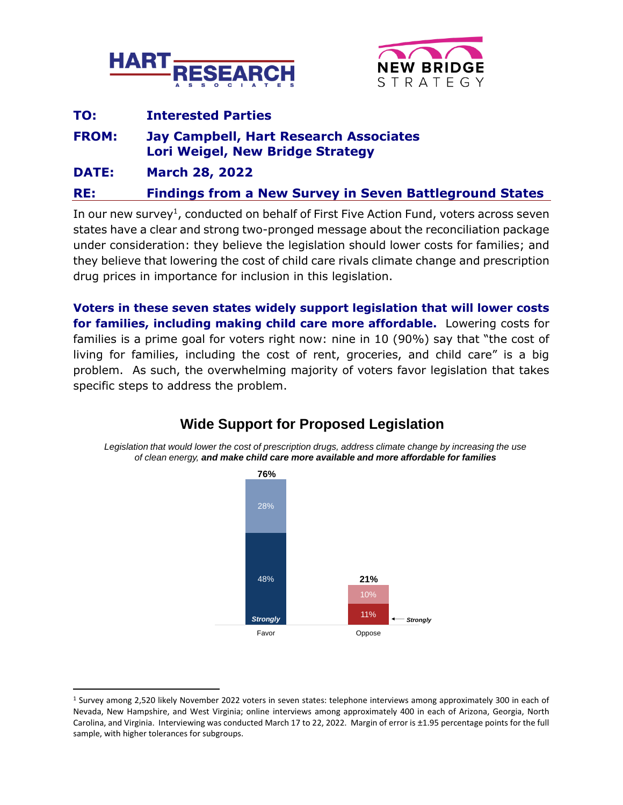



| TO:          | <b>Interested Parties</b>                                                                                      |  |  |
|--------------|----------------------------------------------------------------------------------------------------------------|--|--|
| <b>FROM:</b> | <b>Jay Campbell, Hart Research Associates</b><br><b>Lori Weigel, New Bridge Strategy</b>                       |  |  |
| <b>DATE:</b> | <b>March 28, 2022</b>                                                                                          |  |  |
| <b>RE:</b>   | <b>Findings from a New Survey in Seven Battleground States</b>                                                 |  |  |
|              | .The consequence of the conditioned on hole if of Ether Ether Adapted Ether Line in the consequence of the con |  |  |

In our new survey<sup>1</sup>, conducted on behalf of First Five Action Fund, voters across seven states have a clear and strong two-pronged message about the reconciliation package under consideration: they believe the legislation should lower costs for families; and they believe that lowering the cost of child care rivals climate change and prescription drug prices in importance for inclusion in this legislation.

**Voters in these seven states widely support legislation that will lower costs for families, including making child care more affordable.** Lowering costs for families is a prime goal for voters right now: nine in 10 (90%) say that "the cost of living for families, including the cost of rent, groceries, and child care" is a big problem. As such, the overwhelming majority of voters favor legislation that takes specific steps to address the problem.



# **Wide Support for Proposed Legislation**

*Legislation that would lower the cost of prescription drugs, address climate change by increasing the use of clean energy, and make child care more available and more affordable for families*

<sup>1</sup> Survey among 2,520 likely November 2022 voters in seven states: telephone interviews among approximately 300 in each of Nevada, New Hampshire, and West Virginia; online interviews among approximately 400 in each of Arizona, Georgia, North Carolina, and Virginia. Interviewing was conducted March 17 to 22, 2022. Margin of error is ±1.95 percentage points for the full sample, with higher tolerances for subgroups.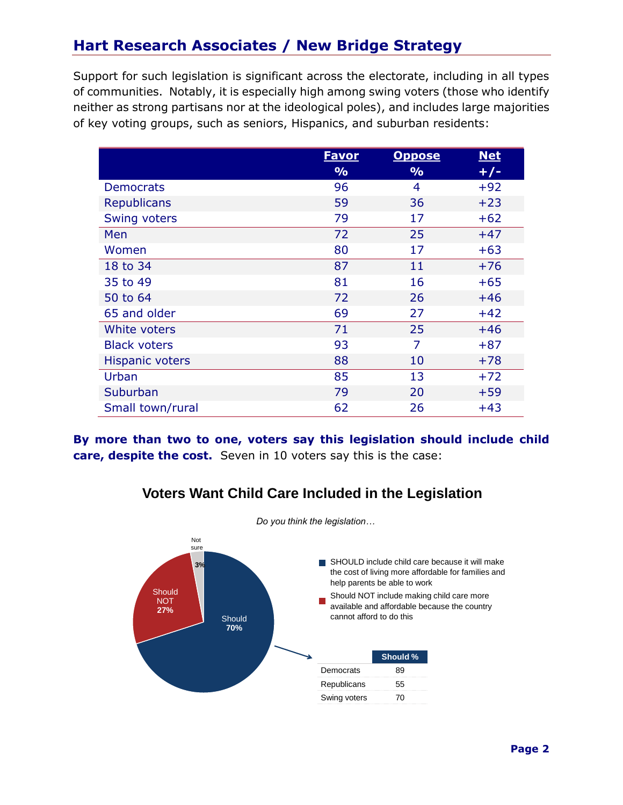# **Hart Research Associates / New Bridge Strategy**

Support for such legislation is significant across the electorate, including in all types of communities. Notably, it is especially high among swing voters (those who identify neither as strong partisans nor at the ideological poles), and includes large majorities of key voting groups, such as seniors, Hispanics, and suburban residents:

|                        | <b>Favor</b>  | <b>Oppose</b> | <b>Net</b> |
|------------------------|---------------|---------------|------------|
|                        | $\frac{1}{2}$ | $\frac{9}{6}$ | $+/-$      |
| <b>Democrats</b>       | 96            | 4             | $+92$      |
| <b>Republicans</b>     | 59            | 36            | $+23$      |
| Swing voters           | 79            | 17            | $+62$      |
| Men                    | 72            | 25            | $+47$      |
| Women                  | 80            | 17            | $+63$      |
| 18 to 34               | 87            | 11            | $+76$      |
| 35 to 49               | 81            | 16            | $+65$      |
| 50 to 64               | 72            | 26            | $+46$      |
| 65 and older           | 69            | 27            | $+42$      |
| White voters           | 71            | 25            | $+46$      |
| <b>Black voters</b>    | 93            | 7             | $+87$      |
| <b>Hispanic voters</b> | 88            | 10            | $+78$      |
| Urban                  | 85            | 13            | $+72$      |
| Suburban               | 79            | 20            | $+59$      |
| Small town/rural       | 62            | 26            | $+43$      |

**By more than two to one, voters say this legislation should include child care, despite the cost.** Seven in 10 voters say this is the case:

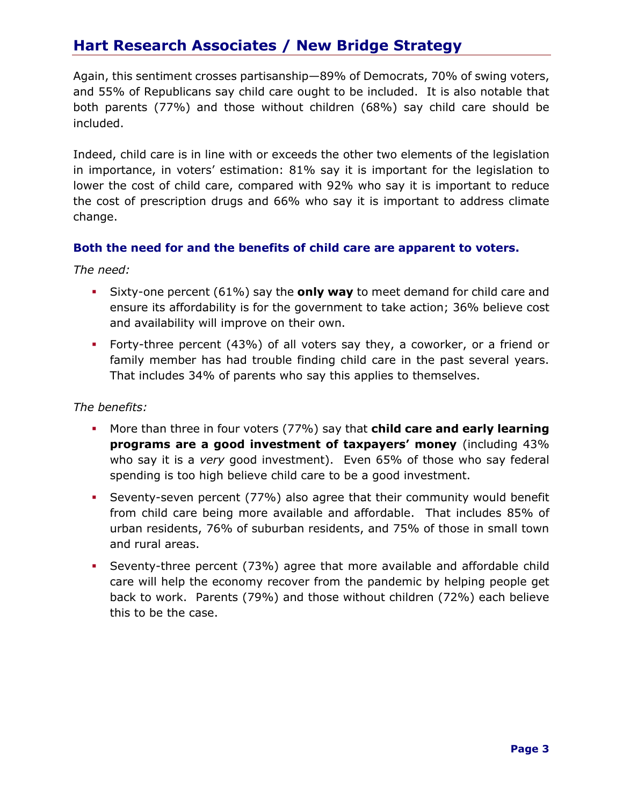## **Hart Research Associates / New Bridge Strategy**

Again, this sentiment crosses partisanship—89% of Democrats, 70% of swing voters, and 55% of Republicans say child care ought to be included. It is also notable that both parents (77%) and those without children (68%) say child care should be included.

Indeed, child care is in line with or exceeds the other two elements of the legislation in importance, in voters' estimation: 81% say it is important for the legislation to lower the cost of child care, compared with 92% who say it is important to reduce the cost of prescription drugs and 66% who say it is important to address climate change.

### **Both the need for and the benefits of child care are apparent to voters.**

*The need:*

- Sixty-one percent (61%) say the **only way** to meet demand for child care and ensure its affordability is for the government to take action; 36% believe cost and availability will improve on their own.
- Forty-three percent (43%) of all voters say they, a coworker, or a friend or family member has had trouble finding child care in the past several years. That includes 34% of parents who say this applies to themselves.

#### *The benefits:*

- More than three in four voters (77%) say that **child care and early learning programs are a good investment of taxpayers' money** (including 43% who say it is a *very* good investment). Even 65% of those who say federal spending is too high believe child care to be a good investment.
- **•** Seventy-seven percent (77%) also agree that their community would benefit from child care being more available and affordable. That includes 85% of urban residents, 76% of suburban residents, and 75% of those in small town and rural areas.
- **•** Seventy-three percent (73%) agree that more available and affordable child care will help the economy recover from the pandemic by helping people get back to work. Parents (79%) and those without children (72%) each believe this to be the case.